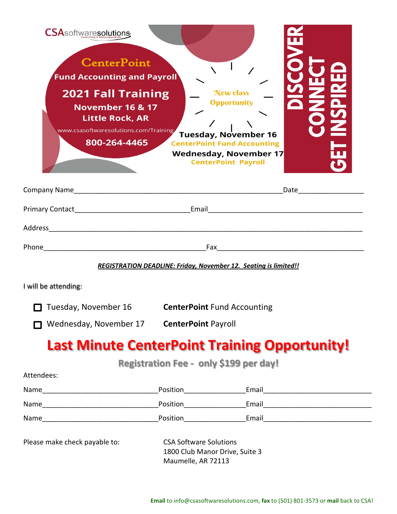| <b>CSA</b> softwaresolutions<br><b>CenterPoint</b><br><b>Fund Accounting and Payroll</b><br><b>2021 Fall Training</b><br><b>November 16 &amp; 17</b><br><b>Little Rock, AR</b><br>www.csasoftwaresolutions.com/Training<br>800-264-4465 |                                                                                                               | <b>New class</b><br>Opportunity<br><b>Tuesday, November 16</b><br><b>CenterPoint Fund Accounting</b><br><b>Wednesday, November 17</b><br><b>CenterPoint Payroll</b> |  |
|-----------------------------------------------------------------------------------------------------------------------------------------------------------------------------------------------------------------------------------------|---------------------------------------------------------------------------------------------------------------|---------------------------------------------------------------------------------------------------------------------------------------------------------------------|--|
|                                                                                                                                                                                                                                         | Date and the state of the state of the state of the state of the state of the state of the state of the state |                                                                                                                                                                     |  |
|                                                                                                                                                                                                                                         |                                                                                                               |                                                                                                                                                                     |  |
|                                                                                                                                                                                                                                         |                                                                                                               |                                                                                                                                                                     |  |
|                                                                                                                                                                                                                                         |                                                                                                               |                                                                                                                                                                     |  |
|                                                                                                                                                                                                                                         |                                                                                                               | <b>REGISTRATION DEADLINE: Friday, November 12. Seating is limited!!</b>                                                                                             |  |
| I will be attending:                                                                                                                                                                                                                    |                                                                                                               |                                                                                                                                                                     |  |
| $\Box$ Tuesday, November 16<br>Wednesday, November 17 CenterPoint Payroll                                                                                                                                                               | <b>CenterPoint Fund Accounting</b>                                                                            |                                                                                                                                                                     |  |
| <b>Last Minute CenterPoint Training Opportunity!</b>                                                                                                                                                                                    |                                                                                                               |                                                                                                                                                                     |  |
|                                                                                                                                                                                                                                         |                                                                                                               | <b>Registration Fee - only \$199 per day!</b>                                                                                                                       |  |
| Attendees:                                                                                                                                                                                                                              |                                                                                                               |                                                                                                                                                                     |  |
|                                                                                                                                                                                                                                         |                                                                                                               |                                                                                                                                                                     |  |
|                                                                                                                                                                                                                                         |                                                                                                               |                                                                                                                                                                     |  |
|                                                                                                                                                                                                                                         |                                                                                                               |                                                                                                                                                                     |  |
| Please make check payable to:                                                                                                                                                                                                           | <b>CSA Software Solutions</b><br>1800 Club Manor Drive, Suite 3                                               |                                                                                                                                                                     |  |

Maumelle, AR 72113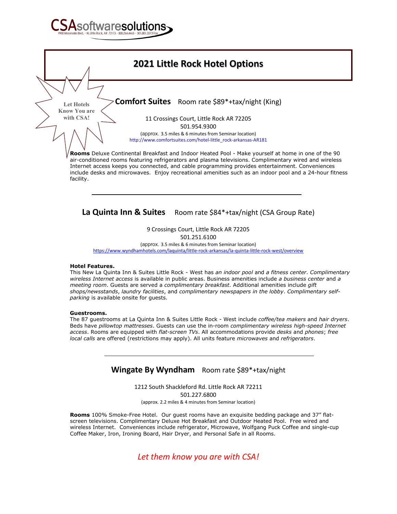



**La Quinta Inn & Suites** Room rate \$84\*+tax/night (CSA Group Rate)

9 Crossings Court, Little Rock AR 72205 501.251.6100

(approx. 3.5 miles & 6 minutes from Seminar location)

<https://www.wyndhamhotels.com/laquinta/little-rock-arkansas/la-quinta-little-rock-west/overview>

## **Hotel Features.**

This New La Quinta Inn & Suites Little Rock - West has *an indoor pool* and *a fitness center*. *Complimentary wireless Internet access* is available in public areas. Business amenities include *a business center* and *a meeting room*. Guests are served a *complimentary breakfast*. Additional amenities include *gift shops/newsstands*, *laundry facilities*, and *complimentary newspapers in the lobby*. *Complimentary selfparking* is available onsite for guests.

## **Guestrooms.**

The 87 guestrooms at La Quinta Inn & Suites Little Rock - West include *coffee/tea makers* and *hair dryers*. Beds have *pillowtop mattresses*. Guests can use the in-room *complimentary wireless high-speed Internet access*. Rooms are equipped with *flat-screen TVs*. All accommodations provide *desks* and *phones*; *free local calls* are offered (restrictions may apply). All units feature *microwaves* and *refrigerators*.

## **Wingate By Wyndham** Room rate \$89\*+tax/night

1212 South Shackleford Rd. Little Rock AR 72211 501.227.6800 (approx. 2.2 miles & 4 minutes from Seminar location)

**Rooms** 100% Smoke-Free Hotel. Our guest rooms have an exquisite bedding package and 37" flatscreen televisions. Complimentary Deluxe Hot Breakfast and Outdoor Heated Pool. Free wired and wireless Internet. Conveniences include refrigerator, Microwave, Wolfgang Puck Coffee and single-cup Coffee Maker, Iron, Ironing Board, Hair Dryer, and Personal Safe in all Rooms.

*Let them know you are with CSA!*